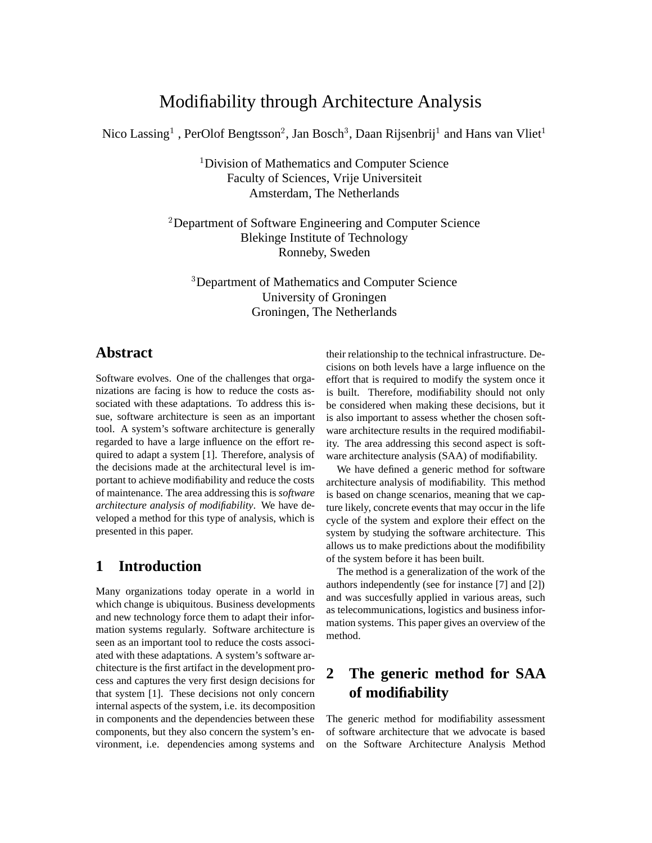# Modifiability through Architecture Analysis

Nico Lassing $^1$  , PerOlof Bengtsson $^2$ , Jan Bosch $^3$ , Daan Rijsenbrij $^1$  and Hans van Vliet $^1$ 

<sup>1</sup> Division of Mathematics and Computer Science Faculty of Sciences, Vrije Universiteit Amsterdam, The Netherlands

<sup>2</sup>Department of Software Engineering and Computer Science Blekinge Institute of Technology Ronneby, Sweden

<sup>3</sup>Department of Mathematics and Computer Science University of Groningen Groningen, The Netherlands

### **Abstract**

Software evolves. One of the challenges that organizations are facing is how to reduce the costs associated with these adaptations. To address this issue, software architecture is seen as an important tool. A system's software architecture is generally regarded to have a large influence on the effort required to adapt a system [1]. Therefore, analysis of the decisions made at the architectural level is important to achieve modifiability and reduce the costs of maintenance. The area addressing this is *software architecture analysis of modifiability*. We have developed a method for this type of analysis, which is presented in this paper.

### **1 Introduction**

Many organizations today operate in a world in which change is ubiquitous. Business developments and new technology force them to adapt their information systems regularly. Software architecture is seen as an important tool to reduce the costs associated with these adaptations. A system's software architecture is the first artifact in the development process and captures the very first design decisions for that system [1]. These decisions not only concern internal aspects of the system, i.e. its decomposition in components and the dependencies between these components, but they also concern the system's environment, i.e. dependencies among systems and

their relationship to the technical infrastructure. Decisions on both levels have a large influence on the effort that is required to modify the system once it is built. Therefore, modifiability should not only be considered when making these decisions, but it is also important to assess whether the chosen software architecture results in the required modifiability. The area addressing this second aspect is software architecture analysis (SAA) of modifiability.

We have defined a generic method for software architecture analysis of modifiability. This method is based on change scenarios, meaning that we capture likely, concrete events that may occur in the life cycle of the system and explore their effect on the system by studying the software architecture. This allows us to make predictions about the modifibility of the system before it has been built.

The method is a generalization of the work of the authors independently (see for instance [7] and [2]) and was succesfully applied in various areas, such as telecommunications, logistics and business information systems. This paper gives an overview of the method.

## **2 The generic method for SAA of modifiability**

The generic method for modifiability assessment of software architecture that we advocate is based on the Software Architecture Analysis Method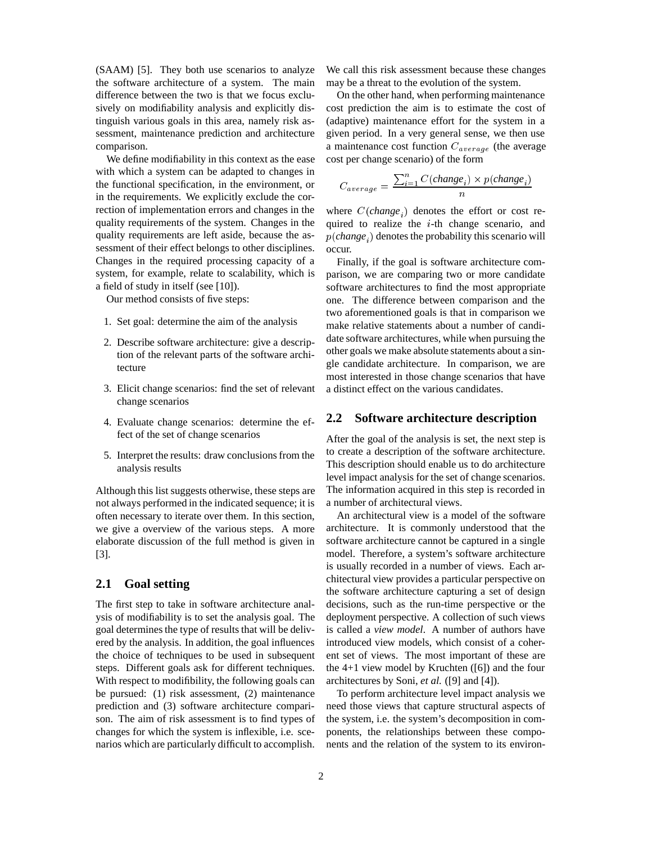(SAAM) [5]. They both use scenarios to analyze the software architecture of a system. The main difference between the two is that we focus exclusively on modifiability analysis and explicitly distinguish various goals in this area, namely risk assessment, maintenance prediction and architecture comparison.

We define modifiability in this context as the ease with which a system can be adapted to changes in the functional specification, in the environment, or in the requirements. We explicitly exclude the correction of implementation errors and changes in the quality requirements of the system. Changes in the quality requirements are left aside, because the assessment of their effect belongs to other disciplines. Changes in the required processing capacity of a system, for example, relate to scalability, which is a field of study in itself (see [10]).

Our method consists of five steps:

- 1. Set goal: determine the aim of the analysis
- 2. Describe software architecture: give a description of the relevant parts of the software architecture
- 3. Elicit change scenarios: find the set of relevant change scenarios
- 4. Evaluate change scenarios: determine the effect of the set of change scenarios
- 5. Interpret the results: draw conclusions from the analysis results

Although this list suggests otherwise, these steps are not always performed in the indicated sequence; it is often necessary to iterate over them. In this section, we give a overview of the various steps. A more elaborate discussion of the full method is given in [3].

#### **2.1 Goal setting**

The first step to take in software architecture analysis of modifiability is to set the analysis goal. The goal determines the type of results that will be delivered by the analysis. In addition, the goal influences the choice of techniques to be used in subsequent steps. Different goals ask for different techniques. With respect to modifibility, the following goals can be pursued: (1) risk assessment, (2) maintenance prediction and (3) software architecture comparison. The aim of risk assessment is to find types of changes for which the system is inflexible, i.e. scenarios which are particularly difficult to accomplish. We call this risk assessment because these changes may be a threat to the evolution of the system.

On the other hand, when performing maintenance cost prediction the aim is to estimate the cost of (adaptive) maintenance effort for the system in a given period. In a very general sense, we then use a maintenance cost function  $C_{average}$  (the average cost per change scenario) of the form

$$
C_{average} = \frac{\sum_{i=1}^{n} C(change_i) \times p(change_i)}{n}
$$

where  $C(charge_i)$  denotes the effort or cost required to realize the  $i$ -th change scenario, and  $p(change_i)$  denotes the probability this scenario will occur.

Finally, if the goal is software architecture comparison, we are comparing two or more candidate software architectures to find the most appropriate one. The difference between comparison and the two aforementioned goals is that in comparison we make relative statements about a number of candidate software architectures, while when pursuing the other goals we make absolute statements about a single candidate architecture. In comparison, we are most interested in those change scenarios that have a distinct effect on the various candidates.

#### **2.2 Software architecture description**

After the goal of the analysis is set, the next step is to create a description of the software architecture. This description should enable us to do architecture level impact analysis for the set of change scenarios. The information acquired in this step is recorded in a number of architectural views.

An architectural view is a model of the software architecture. It is commonly understood that the software architecture cannot be captured in a single model. Therefore, a system's software architecture is usually recorded in a number of views. Each architectural view provides a particular perspective on the software architecture capturing a set of design decisions, such as the run-time perspective or the deployment perspective. A collection of such views is called a *view model*. A number of authors have introduced view models, which consist of a coherent set of views. The most important of these are the 4+1 view model by Kruchten ([6]) and the four architectures by Soni, *et al.* ([9] and [4]).

To perform architecture level impact analysis we need those views that capture structural aspects of the system, i.e. the system's decomposition in components, the relationships between these components and the relation of the system to its environ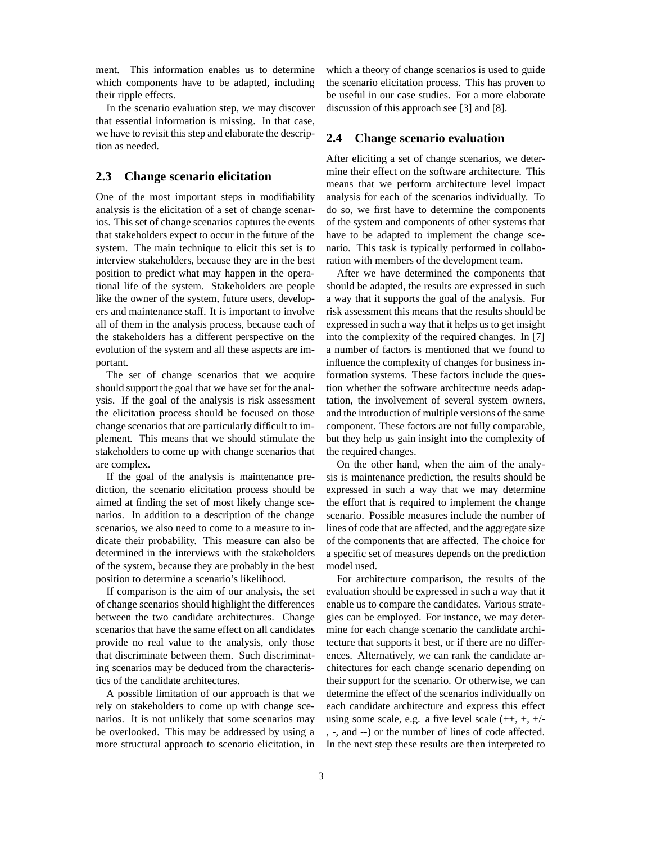ment. This information enables us to determine which components have to be adapted, including their ripple effects.

In the scenario evaluation step, we may discover that essential information is missing. In that case, we have to revisit this step and elaborate the description as needed.

#### **2.3 Change scenario elicitation**

One of the most important steps in modifiability analysis is the elicitation of a set of change scenarios. This set of change scenarios captures the events that stakeholders expect to occur in the future of the system. The main technique to elicit this set is to interview stakeholders, because they are in the best position to predict what may happen in the operational life of the system. Stakeholders are people like the owner of the system, future users, developers and maintenance staff. It is important to involve all of them in the analysis process, because each of the stakeholders has a different perspective on the evolution of the system and all these aspects are important.

The set of change scenarios that we acquire should support the goal that we have set for the analysis. If the goal of the analysis is risk assessment the elicitation process should be focused on those change scenarios that are particularly difficult to implement. This means that we should stimulate the stakeholders to come up with change scenarios that are complex.

If the goal of the analysis is maintenance prediction, the scenario elicitation process should be aimed at finding the set of most likely change scenarios. In addition to a description of the change scenarios, we also need to come to a measure to indicate their probability. This measure can also be determined in the interviews with the stakeholders of the system, because they are probably in the best position to determine a scenario's likelihood.

If comparison is the aim of our analysis, the set of change scenarios should highlight the differences between the two candidate architectures. Change scenarios that have the same effect on all candidates provide no real value to the analysis, only those that discriminate between them. Such discriminating scenarios may be deduced from the characteristics of the candidate architectures.

A possible limitation of our approach is that we rely on stakeholders to come up with change scenarios. It is not unlikely that some scenarios may be overlooked. This may be addressed by using a more structural approach to scenario elicitation, in which a theory of change scenarios is used to guide the scenario elicitation process. This has proven to be useful in our case studies. For a more elaborate discussion of this approach see [3] and [8].

#### **2.4 Change scenario evaluation**

After eliciting a set of change scenarios, we determine their effect on the software architecture. This means that we perform architecture level impact analysis for each of the scenarios individually. To do so, we first have to determine the components of the system and components of other systems that have to be adapted to implement the change scenario. This task is typically performed in collaboration with members of the development team.

After we have determined the components that should be adapted, the results are expressed in such a way that it supports the goal of the analysis. For risk assessment this means that the results should be expressed in such a way that it helps us to get insight into the complexity of the required changes. In [7] a number of factors is mentioned that we found to influence the complexity of changes for business information systems. These factors include the question whether the software architecture needs adaptation, the involvement of several system owners, and the introduction of multiple versions of the same component. These factors are not fully comparable, but they help us gain insight into the complexity of the required changes.

On the other hand, when the aim of the analysis is maintenance prediction, the results should be expressed in such a way that we may determine the effort that is required to implement the change scenario. Possible measures include the number of lines of code that are affected, and the aggregate size of the components that are affected. The choice for a specific set of measures depends on the prediction model used.

For architecture comparison, the results of the evaluation should be expressed in such a way that it enable us to compare the candidates. Various strategies can be employed. For instance, we may determine for each change scenario the candidate architecture that supports it best, or if there are no differences. Alternatively, we can rank the candidate architectures for each change scenario depending on their support for the scenario. Or otherwise, we can determine the effect of the scenarios individually on each candidate architecture and express this effect using some scale, e.g. a five level scale  $(++, +, +)$ , -, and --) or the number of lines of code affected. In the next step these results are then interpreted to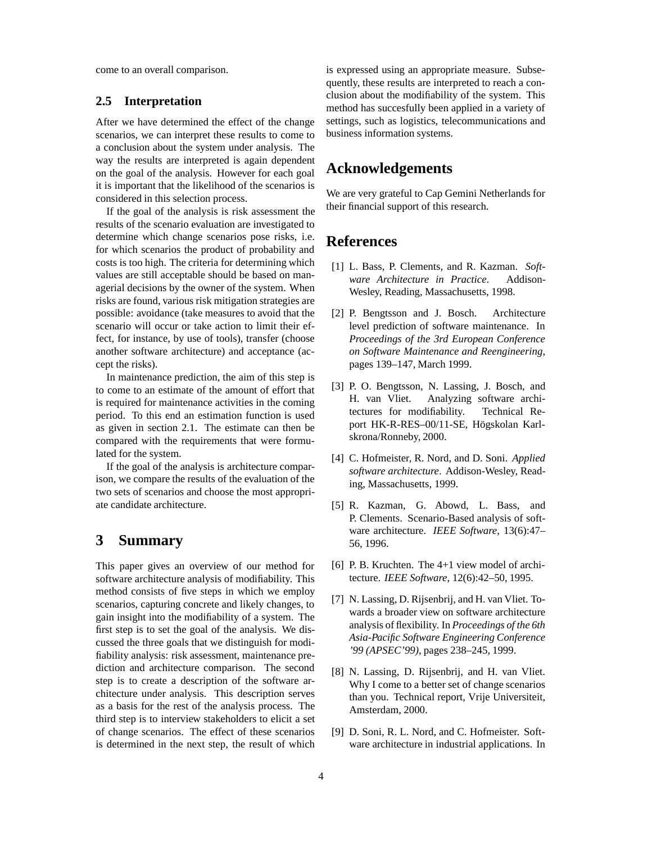come to an overall comparison.

#### **2.5 Interpretation**

After we have determined the effect of the change scenarios, we can interpret these results to come to a conclusion about the system under analysis. The way the results are interpreted is again dependent on the goal of the analysis. However for each goal it is important that the likelihood of the scenarios is considered in this selection process.

If the goal of the analysis is risk assessment the results of the scenario evaluation are investigated to determine which change scenarios pose risks, i.e. for which scenarios the product of probability and costs is too high. The criteria for determining which values are still acceptable should be based on managerial decisions by the owner of the system. When risks are found, various risk mitigation strategies are possible: avoidance (take measures to avoid that the scenario will occur or take action to limit their effect, for instance, by use of tools), transfer (choose another software architecture) and acceptance (accept the risks).

In maintenance prediction, the aim of this step is to come to an estimate of the amount of effort that is required for maintenance activities in the coming period. To this end an estimation function is used as given in section 2.1. The estimate can then be compared with the requirements that were formulated for the system.

If the goal of the analysis is architecture comparison, we compare the results of the evaluation of the two sets of scenarios and choose the most appropriate candidate architecture.

### **3 Summary**

This paper gives an overview of our method for software architecture analysis of modifiability. This method consists of five steps in which we employ scenarios, capturing concrete and likely changes, to gain insight into the modifiability of a system. The first step is to set the goal of the analysis. We discussed the three goals that we distinguish for modifiability analysis: risk assessment, maintenance prediction and architecture comparison. The second step is to create a description of the software architecture under analysis. This description serves as a basis for the rest of the analysis process. The third step is to interview stakeholders to elicit a set of change scenarios. The effect of these scenarios is determined in the next step, the result of which

is expressed using an appropriate measure. Subsequently, these results are interpreted to reach a conclusion about the modifiability of the system. This method has succesfully been applied in a variety of settings, such as logistics, telecommunications and business information systems.

### **Acknowledgements**

We are very grateful to Cap Gemini Netherlands for their financial support of this research.

### **References**

- [1] L. Bass, P. Clements, and R. Kazman. *Software Architecture in Practice*. Addison-Wesley, Reading, Massachusetts, 1998.
- [2] P. Bengtsson and J. Bosch. Architecture level prediction of software maintenance. In *Proceedings of the 3rd European Conference on Software Maintenance and Reengineering*, pages 139–147, March 1999.
- [3] P. O. Bengtsson, N. Lassing, J. Bosch, and H. van Vliet. Analyzing software architectures for modifiability. Technical Report HK-R-RES-00/11-SE, Högskolan Karlskrona/Ronneby, 2000.
- [4] C. Hofmeister, R. Nord, and D. Soni. *Applied software architecture*. Addison-Wesley, Reading, Massachusetts, 1999.
- [5] R. Kazman, G. Abowd, L. Bass, and P. Clements. Scenario-Based analysis of software architecture. *IEEE Software*, 13(6):47– 56, 1996.
- [6] P. B. Kruchten. The 4+1 view model of architecture. *IEEE Software*, 12(6):42–50, 1995.
- [7] N. Lassing, D. Rijsenbrij, and H. van Vliet. Towards a broader view on software architecture analysis of flexibility. In *Proceedings of the 6th Asia-Pacific Software Engineering Conference '99 (APSEC'99)*, pages 238–245, 1999.
- [8] N. Lassing, D. Rijsenbrij, and H. van Vliet. Why I come to a better set of change scenarios than you. Technical report, Vrije Universiteit, Amsterdam, 2000.
- [9] D. Soni, R. L. Nord, and C. Hofmeister. Software architecture in industrial applications. In